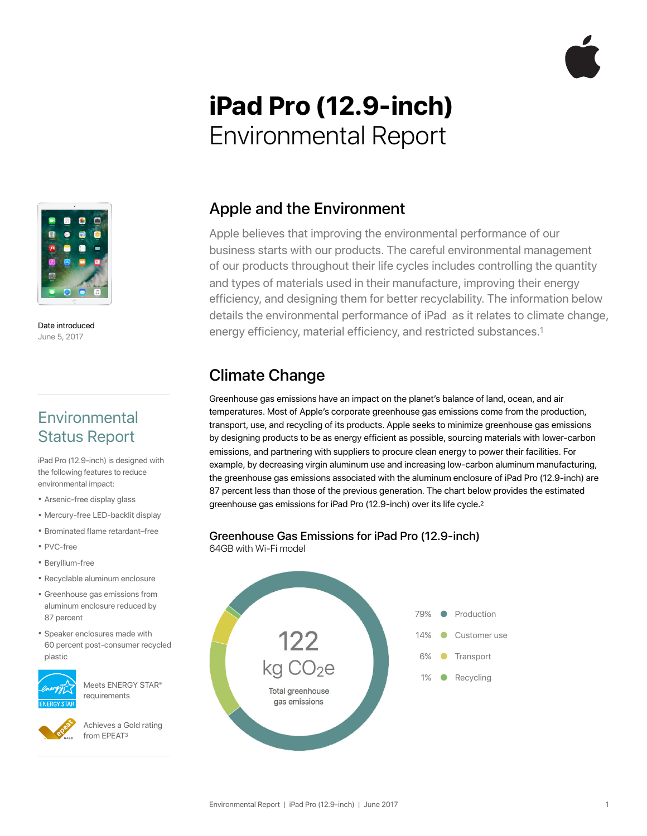# **iPad Pro (12.9-inch)**  Environmental Report



Date introduced June 5, 2017

## **Environmental** Status Report

iPad Pro (12.9-inch) is designed with the following features to reduce environmental impact:

- Arsenic-free display glass
- Mercury-free LED-backlit display
- Brominated flame retardant–free
- PVC-free
- Beryllium-free
- Recyclable aluminum enclosure
- Greenhouse gas emissions from aluminum enclosure reduced by 87 percent
- Speaker enclosures made with 60 percent post-consumer recycled plastic



Meets ENERGY STAR® requirements



Achieves a Gold rating from EPEAT3

#### Apple and the Environment

Apple believes that improving the environmental performance of our business starts with our products. The careful environmental management of our products throughout their life cycles includes controlling the quantity and types of materials used in their manufacture, improving their energy efficiency, and designing them for better recyclability. The information below details the environmental performance of iPad as it relates to climate change, energy efficiency, material efficiency, and restricted substances.1

## Climate Change

Greenhouse gas emissions have an impact on the planet's balance of land, ocean, and air temperatures. Most of Apple's corporate greenhouse gas emissions come from the production, transport, use, and recycling of its products. Apple seeks to minimize greenhouse gas emissions by designing products to be as energy efficient as possible, sourcing materials with lower-carbon emissions, and partnering with suppliers to procure clean energy to power their facilities. For example, by decreasing virgin aluminum use and increasing low-carbon aluminum manufacturing, the greenhouse gas emissions associated with the aluminum enclosure of iPad Pro (12.9-inch) are 87 percent less than those of the previous generation. The chart below provides the estimated greenhouse gas emissions for iPad Pro (12.9-inch) over its life cycle.2

#### Greenhouse Gas Emissions for iPad Pro (12.9-inch)

64GB with Wi-Fi model

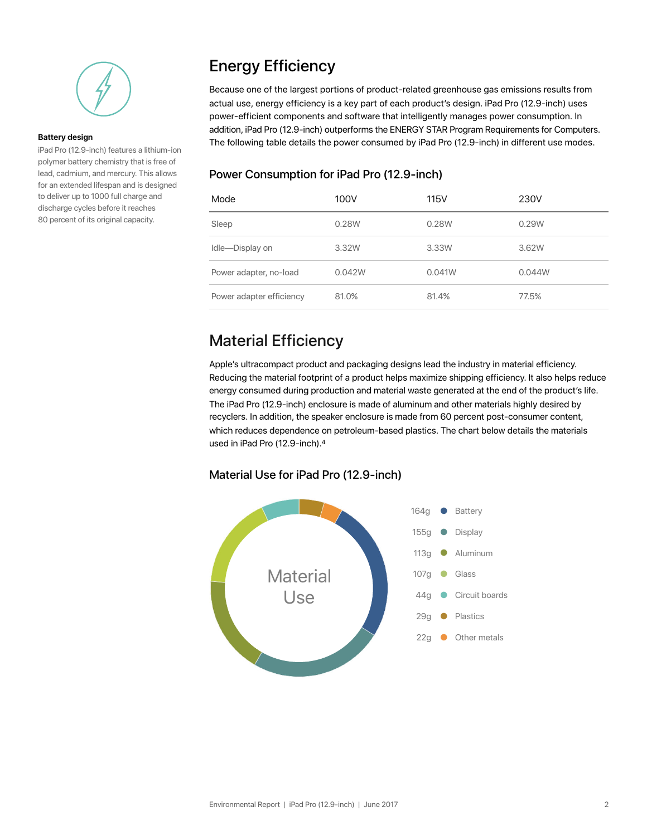

#### **Battery design**

iPad Pro (12.9-inch) features a lithium-ion polymer battery chemistry that is free of lead, cadmium, and mercury. This allows for an extended lifespan and is designed to deliver up to 1000 full charge and discharge cycles before it reaches 80 percent of its original capacity.

# Energy Efficiency

Because one of the largest portions of product-related greenhouse gas emissions results from actual use, energy efficiency is a key part of each product's design. iPad Pro (12.9-inch) uses power-efficient components and software that intelligently manages power consumption. In addition, iPad Pro (12.9-inch) outperforms the ENERGY STAR Program Requirements for Computers. The following table details the power consumed by iPad Pro (12.9-inch) in different use modes.

#### Power Consumption for iPad Pro (12.9-inch)

| Mode                     | 100V   | <b>115V</b> | 230V   |
|--------------------------|--------|-------------|--------|
| Sleep                    | 0.28W  | 0.28W       | 0.29W  |
| Idle-Display on          | 3.32W  | 3.33W       | 3.62W  |
| Power adapter, no-load   | 0.042W | 0.041W      | 0.044W |
| Power adapter efficiency | 81.0%  | 81.4%       | 77.5%  |

## Material Efficiency

Apple's ultracompact product and packaging designs lead the industry in material efficiency. Reducing the material footprint of a product helps maximize shipping efficiency. It also helps reduce energy consumed during production and material waste generated at the end of the product's life. The iPad Pro (12.9-inch) enclosure is made of aluminum and other materials highly desired by recyclers. In addition, the speaker enclosure is made from 60 percent post-consumer content, which reduces dependence on petroleum-based plastics. The chart below details the materials used in iPad Pro (12.9-inch).4

#### Material Use for iPad Pro (12.9-inch)

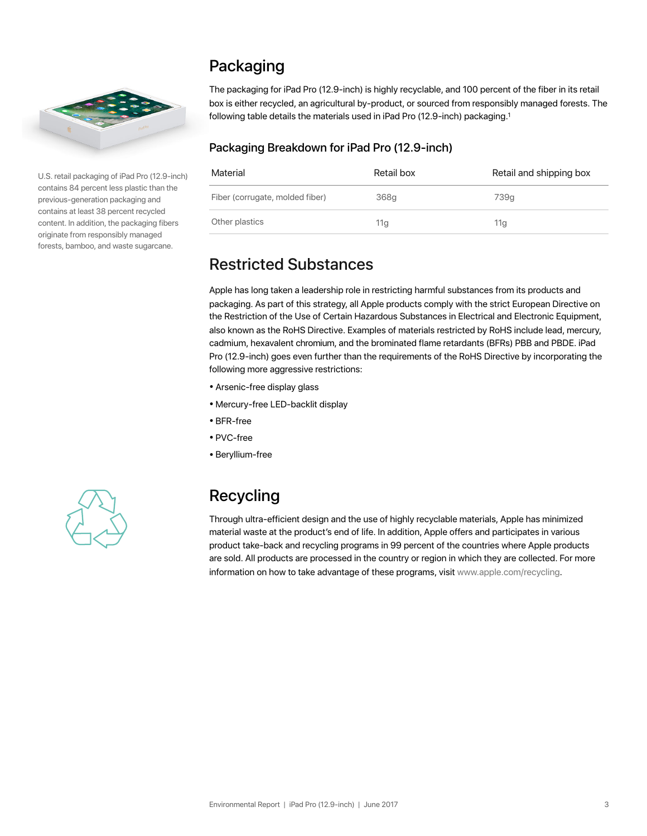

U.S. retail packaging of iPad Pro (12.9-inch) contains 84 percent less plastic than the previous-generation packaging and contains at least 38 percent recycled content. In addition, the packaging fibers originate from responsibly managed forests, bamboo, and waste sugarcane.

# Packaging

The packaging for iPad Pro (12.9-inch) is highly recyclable, and 100 percent of the fiber in its retail box is either recycled, an agricultural by-product, or sourced from responsibly managed forests. The following table details the materials used in iPad Pro (12.9-inch) packaging.<sup>1</sup>

#### Packaging Breakdown for iPad Pro (12.9-inch)

| Material                        | Retail box      | Retail and shipping box |
|---------------------------------|-----------------|-------------------------|
| Fiber (corrugate, molded fiber) | 368q            | 739q                    |
| Other plastics                  | 11 <sub>g</sub> | 11g                     |

## Restricted Substances

Apple has long taken a leadership role in restricting harmful substances from its products and packaging. As part of this strategy, all Apple products comply with the strict European Directive on the Restriction of the Use of Certain Hazardous Substances in Electrical and Electronic Equipment, also known as the RoHS Directive. Examples of materials restricted by RoHS include lead, mercury, cadmium, hexavalent chromium, and the brominated flame retardants (BFRs) PBB and PBDE. iPad Pro (12.9-inch) goes even further than the requirements of the RoHS Directive by incorporating the following more aggressive restrictions:

- Arsenic-free display glass
- Mercury-free LED-backlit display
- BFR-free
- PVC-free
- Beryllium-free



# Recycling

Through ultra-efficient design and the use of highly recyclable materials, Apple has minimized material waste at the product's end of life. In addition, Apple offers and participates in various product take-back and recycling programs in 99 percent of the countries where Apple products are sold. All products are processed in the country or region in which they are collected. For more information on how to take advantage of these programs, visi[t www.apple.com/recycling.](http://www.apple.com/recycling)